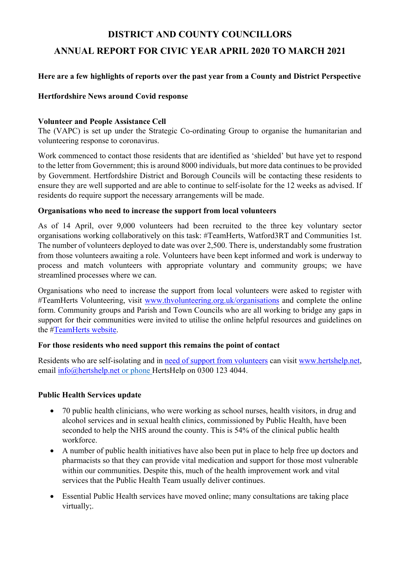# DISTRICT AND COUNTY COUNCILLORS

# ANNUAL REPORT FOR CIVIC YEAR APRIL 2020 TO MARCH 2021

# Here are a few highlights of reports over the past year from a County and District Perspective

## Hertfordshire News around Covid response

#### Volunteer and People Assistance Cell

The (VAPC) is set up under the Strategic Co-ordinating Group to organise the humanitarian and volunteering response to coronavirus.

Work commenced to contact those residents that are identified as 'shielded' but have yet to respond to the letter from Government; this is around 8000 individuals, but more data continues to be provided by Government. Hertfordshire District and Borough Councils will be contacting these residents to ensure they are well supported and are able to continue to self-isolate for the 12 weeks as advised. If residents do require support the necessary arrangements will be made.

#### Organisations who need to increase the support from local volunteers

As of 14 April, over 9,000 volunteers had been recruited to the three key voluntary sector organisations working collaboratively on this task: #TeamHerts, Watford3RT and Communities 1st. The number of volunteers deployed to date was over 2,500. There is, understandably some frustration from those volunteers awaiting a role. Volunteers have been kept informed and work is underway to process and match volunteers with appropriate voluntary and community groups; we have streamlined processes where we can.

Organisations who need to increase the support from local volunteers were asked to register with #TeamHerts Volunteering, visit www.thvolunteering.org.uk/organisations and complete the online form. Community groups and Parish and Town Councils who are all working to bridge any gaps in support for their communities were invited to utilise the online helpful resources and guidelines on the #TeamHerts website.

## For those residents who need support this remains the point of contact

Residents who are self-isolating and in need of support from volunteers can visit www.hertshelp.net, email info@hertshelp.net or phone HertsHelp on 0300 123 4044.

## Public Health Services update

- 70 public health clinicians, who were working as school nurses, health visitors, in drug and alcohol services and in sexual health clinics, commissioned by Public Health, have been seconded to help the NHS around the county. This is 54% of the clinical public health workforce.
- A number of public health initiatives have also been put in place to help free up doctors and pharmacists so that they can provide vital medication and support for those most vulnerable within our communities. Despite this, much of the health improvement work and vital services that the Public Health Team usually deliver continues.
- Essential Public Health services have moved online; many consultations are taking place virtually;.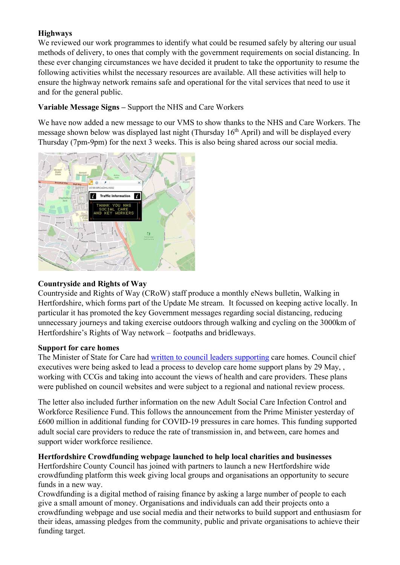# **Highways**

We reviewed our work programmes to identify what could be resumed safely by altering our usual methods of delivery, to ones that comply with the government requirements on social distancing. In these ever changing circumstances we have decided it prudent to take the opportunity to resume the following activities whilst the necessary resources are available. All these activities will help to ensure the highway network remains safe and operational for the vital services that need to use it and for the general public.

# Variable Message Signs – Support the NHS and Care Workers

We have now added a new message to our VMS to show thanks to the NHS and Care Workers. The message shown below was displayed last night (Thursday  $16<sup>th</sup>$  April) and will be displayed every Thursday (7pm-9pm) for the next 3 weeks. This is also being shared across our social media.



## Countryside and Rights of Way

Countryside and Rights of Way (CRoW) staff produce a monthly eNews bulletin, Walking in Hertfordshire, which forms part of the Update Me stream. It focussed on keeping active locally. In particular it has promoted the key Government messages regarding social distancing, reducing unnecessary journeys and taking exercise outdoors through walking and cycling on the 3000km of Hertfordshire's Rights of Way network – footpaths and bridleways.

## Support for care homes

The Minister of State for Care had written to council leaders supporting care homes. Council chief executives were being asked to lead a process to develop care home support plans by 29 May, , working with CCGs and taking into account the views of health and care providers. These plans were published on council websites and were subject to a regional and national review process.

The letter also included further information on the new Adult Social Care Infection Control and Workforce Resilience Fund. This follows the announcement from the Prime Minister yesterday of £600 million in additional funding for COVID-19 pressures in care homes. This funding supported adult social care providers to reduce the rate of transmission in, and between, care homes and support wider workforce resilience.

## Hertfordshire Crowdfunding webpage launched to help local charities and businesses

Hertfordshire County Council has joined with partners to launch a new Hertfordshire wide crowdfunding platform this week giving local groups and organisations an opportunity to secure funds in a new way.

Crowdfunding is a digital method of raising finance by asking a large number of people to each give a small amount of money. Organisations and individuals can add their projects onto a crowdfunding webpage and use social media and their networks to build support and enthusiasm for their ideas, amassing pledges from the community, public and private organisations to achieve their funding target.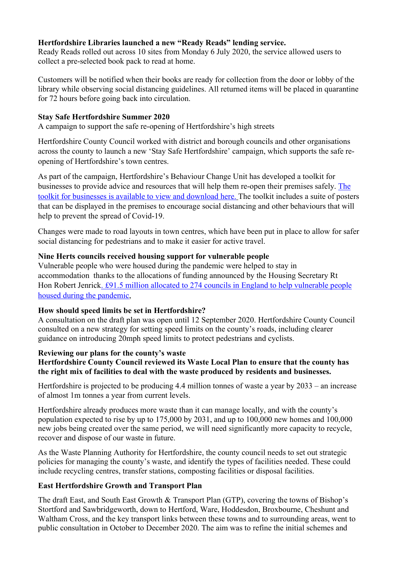# Hertfordshire Libraries launched a new "Ready Reads" lending service.

Ready Reads rolled out across 10 sites from Monday 6 July 2020, the service allowed users to collect a pre-selected book pack to read at home.

Customers will be notified when their books are ready for collection from the door or lobby of the library while observing social distancing guidelines. All returned items will be placed in quarantine for 72 hours before going back into circulation.

## Stay Safe Hertfordshire Summer 2020

A campaign to support the safe re-opening of Hertfordshire's high streets

Hertfordshire County Council worked with district and borough councils and other organisations across the county to launch a new 'Stay Safe Hertfordshire' campaign, which supports the safe reopening of Hertfordshire's town centres.

As part of the campaign, Hertfordshire's Behaviour Change Unit has developed a toolkit for businesses to provide advice and resources that will help them re-open their premises safely. The toolkit for businesses is available to view and download here. The toolkit includes a suite of posters that can be displayed in the premises to encourage social distancing and other behaviours that will help to prevent the spread of Covid-19.

Changes were made to road layouts in town centres, which have been put in place to allow for safer social distancing for pedestrians and to make it easier for active travel.

## Nine Herts councils received housing support for vulnerable people

Vulnerable people who were housed during the pandemic were helped to stay in accommodation thanks to the allocations of funding announced by the Housing Secretary Rt Hon Robert Jenrick. £91.5 million allocated to 274 councils in England to help vulnerable people housed during the pandemic,

## How should speed limits be set in Hertfordshire?

A consultation on the draft plan was open until 12 September 2020. Hertfordshire County Council consulted on a new strategy for setting speed limits on the county's roads, including clearer guidance on introducing 20mph speed limits to protect pedestrians and cyclists.

## Reviewing our plans for the county's waste

# Hertfordshire County Council reviewed its Waste Local Plan to ensure that the county has the right mix of facilities to deal with the waste produced by residents and businesses.

Hertfordshire is projected to be producing 4.4 million tonnes of waste a year by 2033 – an increase of almost 1m tonnes a year from current levels.

Hertfordshire already produces more waste than it can manage locally, and with the county's population expected to rise by up to 175,000 by 2031, and up to 100,000 new homes and 100,000 new jobs being created over the same period, we will need significantly more capacity to recycle, recover and dispose of our waste in future.

As the Waste Planning Authority for Hertfordshire, the county council needs to set out strategic policies for managing the county's waste, and identify the types of facilities needed. These could include recycling centres, transfer stations, composting facilities or disposal facilities.

## East Hertfordshire Growth and Transport Plan

The draft East, and South East Growth & Transport Plan (GTP), covering the towns of Bishop's Stortford and Sawbridgeworth, down to Hertford, Ware, Hoddesdon, Broxbourne, Cheshunt and Waltham Cross, and the key transport links between these towns and to surrounding areas, went to public consultation in October to December 2020. The aim was to refine the initial schemes and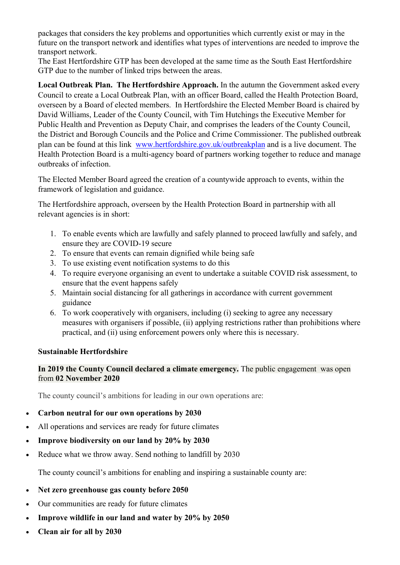packages that considers the key problems and opportunities which currently exist or may in the future on the transport network and identifies what types of interventions are needed to improve the transport network.

The East Hertfordshire GTP has been developed at the same time as the South East Hertfordshire GTP due to the number of linked trips between the areas.

Local Outbreak Plan. The Hertfordshire Approach. In the autumn the Government asked every Council to create a Local Outbreak Plan, with an officer Board, called the Health Protection Board, overseen by a Board of elected members. In Hertfordshire the Elected Member Board is chaired by David Williams, Leader of the County Council, with Tim Hutchings the Executive Member for Public Health and Prevention as Deputy Chair, and comprises the leaders of the County Council, the District and Borough Councils and the Police and Crime Commissioner. The published outbreak plan can be found at this link www.hertfordshire.gov.uk/outbreakplan and is a live document. The Health Protection Board is a multi-agency board of partners working together to reduce and manage outbreaks of infection.

The Elected Member Board agreed the creation of a countywide approach to events, within the framework of legislation and guidance.

The Hertfordshire approach, overseen by the Health Protection Board in partnership with all relevant agencies is in short:

- 1. To enable events which are lawfully and safely planned to proceed lawfully and safely, and ensure they are COVID-19 secure
- 2. To ensure that events can remain dignified while being safe
- 3. To use existing event notification systems to do this
- 4. To require everyone organising an event to undertake a suitable COVID risk assessment, to ensure that the event happens safely
- 5. Maintain social distancing for all gatherings in accordance with current government guidance
- 6. To work cooperatively with organisers, including (i) seeking to agree any necessary measures with organisers if possible, (ii) applying restrictions rather than prohibitions where practical, and (ii) using enforcement powers only where this is necessary.

## Sustainable Hertfordshire

## In 2019 the County Council declared a climate emergency. The public engagement was open from 02 November 2020

The county council's ambitions for leading in our own operations are:

- Carbon neutral for our own operations by 2030
- All operations and services are ready for future climates
- Improve biodiversity on our land by 20% by 2030
- Reduce what we throw away. Send nothing to landfill by 2030

The county council's ambitions for enabling and inspiring a sustainable county are:

- Net zero greenhouse gas county before 2050
- Our communities are ready for future climates
- Improve wildlife in our land and water by 20% by 2050
- Clean air for all by 2030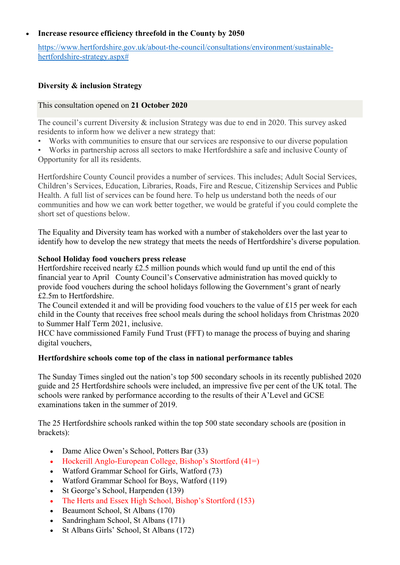#### Increase resource efficiency threefold in the County by 2050

https://www.hertfordshire.gov.uk/about-the-council/consultations/environment/sustainablehertfordshire-strategy.aspx#

#### Diversity & inclusion Strategy

#### This consultation opened on 21 October 2020

The council's current Diversity & inclusion Strategy was due to end in 2020. This survey asked residents to inform how we deliver a new strategy that:

- Works with communities to ensure that our services are responsive to our diverse population
- Works in partnership across all sectors to make Hertfordshire a safe and inclusive County of Opportunity for all its residents.

Hertfordshire County Council provides a number of services. This includes; Adult Social Services, Children's Services, Education, Libraries, Roads, Fire and Rescue, Citizenship Services and Public Health. A full list of services can be found here. To help us understand both the needs of our communities and how we can work better together, we would be grateful if you could complete the short set of questions below.

The Equality and Diversity team has worked with a number of stakeholders over the last year to identify how to develop the new strategy that meets the needs of Hertfordshire's diverse population.

#### School Holiday food vouchers press release

Hertfordshire received nearly £2.5 million pounds which would fund up until the end of this financial year to April County Council's Conservative administration has moved quickly to provide food vouchers during the school holidays following the Government's grant of nearly £2.5m to Hertfordshire.

The Council extended it and will be providing food vouchers to the value of £15 per week for each child in the County that receives free school meals during the school holidays from Christmas 2020 to Summer Half Term 2021, inclusive.

HCC have commissioned Family Fund Trust (FFT) to manage the process of buying and sharing digital vouchers,

#### Hertfordshire schools come top of the class in national performance tables

The Sunday Times singled out the nation's top 500 secondary schools in its recently published 2020 guide and 25 Hertfordshire schools were included, an impressive five per cent of the UK total. The schools were ranked by performance according to the results of their A'Level and GCSE examinations taken in the summer of 2019.

The 25 Hertfordshire schools ranked within the top 500 state secondary schools are (position in brackets):

- Dame Alice Owen's School, Potters Bar (33)
- Hockerill Anglo-European College, Bishop's Stortford  $(41=)$
- Watford Grammar School for Girls, Watford (73)
- Watford Grammar School for Boys, Watford (119)
- St George's School, Harpenden (139)
- The Herts and Essex High School, Bishop's Stortford (153)
- Beaumont School, St Albans (170)
- Sandringham School, St Albans (171)
- St Albans Girls' School, St Albans (172)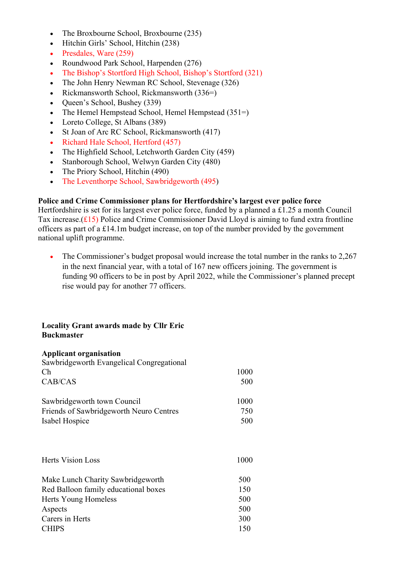- The Broxbourne School, Broxbourne (235)
- Hitchin Girls' School, Hitchin (238)
- Presdales, Ware (259)
- Roundwood Park School, Harpenden (276)
- The Bishop's Stortford High School, Bishop's Stortford (321)
- The John Henry Newman RC School, Stevenage (326)
- Rickmansworth School, Rickmansworth (336=)
- Queen's School, Bushey (339)
- The Hemel Hempstead School, Hemel Hempstead (351=)
- Loreto College, St Albans (389)
- St Joan of Arc RC School, Rickmansworth (417)
- Richard Hale School, Hertford (457)
- The Highfield School, Letchworth Garden City (459)
- Stanborough School, Welwyn Garden City (480)
- The Priory School, Hitchin (490)
- The Leventhorpe School, Sawbridgeworth (495)

#### Police and Crime Commissioner plans for Hertfordshire's largest ever police force

Hertfordshire is set for its largest ever police force, funded by a planned a £1.25 a month Council Tax increase. $(f15)$  Police and Crime Commissioner David Lloyd is aiming to fund extra frontline officers as part of a £14.1m budget increase, on top of the number provided by the government national uplift programme.

• The Commissioner's budget proposal would increase the total number in the ranks to 2,267 in the next financial year, with a total of 167 new officers joining. The government is funding 90 officers to be in post by April 2022, while the Commissioner's planned precept rise would pay for another 77 officers.

## Locality Grant awards made by Cllr Eric Buckmaster

#### Applicant organisation

| Sawbridgeworth Evangelical Congregational |      |
|-------------------------------------------|------|
| Ch                                        | 1000 |
| CAB/CAS                                   | 500  |
| Sawbridgeworth town Council               | 1000 |
| Friends of Sawbridgeworth Neuro Centres   | 750  |
| Isabel Hospice                            | 500  |
| <b>Herts Vision Loss</b>                  | 1000 |
| Make Lunch Charity Sawbridgeworth         | 500  |
| Red Balloon family educational boxes      | 150  |
| Herts Young Homeless                      | 500  |
| Aspects                                   | 500  |
| Carers in Herts                           | 300  |
| <b>CHIPS</b>                              | 150  |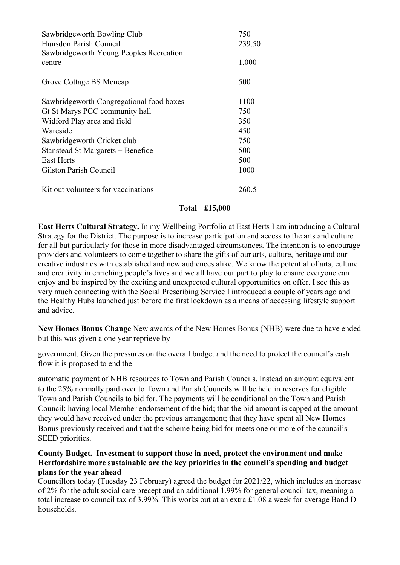| Sawbridgeworth Bowling Club<br>Hunsdon Parish Council<br>Sawbridgeworth Young Peoples Recreation | 750<br>239.50 |
|--------------------------------------------------------------------------------------------------|---------------|
| centre                                                                                           | 1,000         |
| Grove Cottage BS Mencap                                                                          | 500           |
| Sawbridgeworth Congregational food boxes                                                         | 1100          |
| Gt St Marys PCC community hall                                                                   | 750           |
| Widford Play area and field                                                                      | 350           |
| Wareside                                                                                         | 450           |
| Sawbridgeworth Cricket club                                                                      | 750           |
| Stanstead St Margarets + Benefice                                                                | 500           |
| <b>East Herts</b>                                                                                | 500           |
| Gilston Parish Council                                                                           | 1000          |
| Kit out volunteers for vaccinations                                                              | 260.5         |

## Total £15,000

East Herts Cultural Strategy. In my Wellbeing Portfolio at East Herts I am introducing a Cultural Strategy for the District. The purpose is to increase participation and access to the arts and culture for all but particularly for those in more disadvantaged circumstances. The intention is to encourage providers and volunteers to come together to share the gifts of our arts, culture, heritage and our creative industries with established and new audiences alike. We know the potential of arts, culture and creativity in enriching people's lives and we all have our part to play to ensure everyone can enjoy and be inspired by the exciting and unexpected cultural opportunities on offer. I see this as very much connecting with the Social Prescribing Service I introduced a couple of years ago and the Healthy Hubs launched just before the first lockdown as a means of accessing lifestyle support and advice.

New Homes Bonus Change New awards of the New Homes Bonus (NHB) were due to have ended but this was given a one year reprieve by

government. Given the pressures on the overall budget and the need to protect the council's cash flow it is proposed to end the

automatic payment of NHB resources to Town and Parish Councils. Instead an amount equivalent to the 25% normally paid over to Town and Parish Councils will be held in reserves for eligible Town and Parish Councils to bid for. The payments will be conditional on the Town and Parish Council: having local Member endorsement of the bid; that the bid amount is capped at the amount they would have received under the previous arrangement; that they have spent all New Homes Bonus previously received and that the scheme being bid for meets one or more of the council's SEED priorities.

#### County Budget. Investment to support those in need, protect the environment and make Hertfordshire more sustainable are the key priorities in the council's spending and budget plans for the year ahead

Councillors today (Tuesday 23 February) agreed the budget for 2021/22, which includes an increase of 2% for the adult social care precept and an additional 1.99% for general council tax, meaning a total increase to council tax of 3.99%. This works out at an extra £1.08 a week for average Band D households.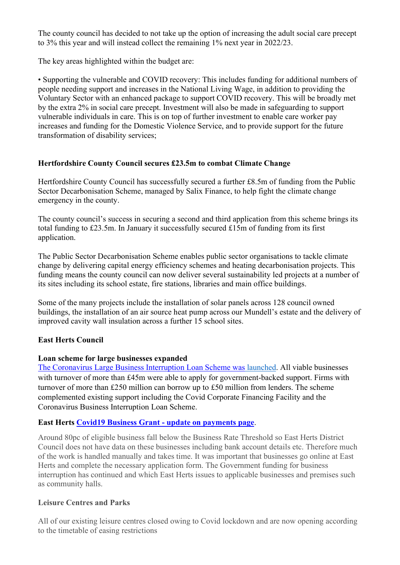The county council has decided to not take up the option of increasing the adult social care precept to 3% this year and will instead collect the remaining 1% next year in 2022/23.

The key areas highlighted within the budget are:

• Supporting the vulnerable and COVID recovery: This includes funding for additional numbers of people needing support and increases in the National Living Wage, in addition to providing the Voluntary Sector with an enhanced package to support COVID recovery. This will be broadly met by the extra 2% in social care precept. Investment will also be made in safeguarding to support vulnerable individuals in care. This is on top of further investment to enable care worker pay increases and funding for the Domestic Violence Service, and to provide support for the future transformation of disability services;

# Hertfordshire County Council secures £23.5m to combat Climate Change

Hertfordshire County Council has successfully secured a further £8.5m of funding from the Public Sector Decarbonisation Scheme, managed by Salix Finance, to help fight the climate change emergency in the county.

The county council's success in securing a second and third application from this scheme brings its total funding to £23.5m. In January it successfully secured £15m of funding from its first application.

The Public Sector Decarbonisation Scheme enables public sector organisations to tackle climate change by delivering capital energy efficiency schemes and heating decarbonisation projects. This funding means the county council can now deliver several sustainability led projects at a number of its sites including its school estate, fire stations, libraries and main office buildings.

Some of the many projects include the installation of solar panels across 128 council owned buildings, the installation of an air source heat pump across our Mundell's estate and the delivery of improved cavity wall insulation across a further 15 school sites.

# East Herts Council

## Loan scheme for large businesses expanded

The Coronavirus Large Business Interruption Loan Scheme was launched. All viable businesses with turnover of more than £45m were able to apply for government-backed support. Firms with turnover of more than £250 million can borrow up to £50 million from lenders. The scheme complemented existing support including the Covid Corporate Financing Facility and the Coronavirus Business Interruption Loan Scheme.

## East Herts Covid19 Business Grant - update on payments page.

Around 80pc of eligible business fall below the Business Rate Threshold so East Herts District Council does not have data on these businesses including bank account details etc. Therefore much of the work is handled manually and takes time. It was important that businesses go online at East Herts and complete the necessary application form. The Government funding for business interruption has continued and which East Herts issues to applicable businesses and premises such as community halls.

## Leisure Centres and Parks

All of our existing leisure centres closed owing to Covid lockdown and are now opening according to the timetable of easing restrictions